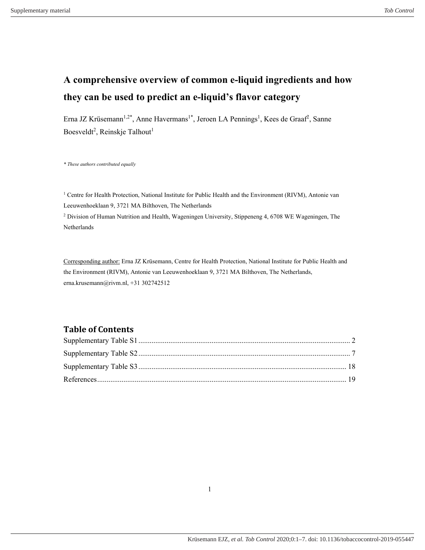# **A comprehensive overview of common e-liquid ingredients and how they can be used to predict an e-liquid's flavor category**

Erna JZ Krüsemann<sup>1,2\*</sup>, Anne Havermans<sup>1\*</sup>, Jeroen LA Pennings<sup>1</sup>, Kees de Graaf<sup>2</sup>, Sanne Boesveldt<sup>2</sup>, Reinskje Talhout<sup>1</sup>

*\* These authors contributed equally*

<sup>1</sup> Centre for Health Protection, National Institute for Public Health and the Environment (RIVM), Antonie van Leeuwenhoeklaan 9, 3721 MA Bilthoven, The Netherlands

<sup>2</sup> Division of Human Nutrition and Health, Wageningen University, Stippeneng 4, 6708 WE Wageningen, The Netherlands

Corresponding author: Erna JZ Krüsemann, Centre for Health Protection, National Institute for Public Health and the Environment (RIVM), Antonie van Leeuwenhoeklaan 9, 3721 MA Bilthoven, The Netherlands, erna.krusemann@rivm.nl, +31 302742512

## **Table of Contents**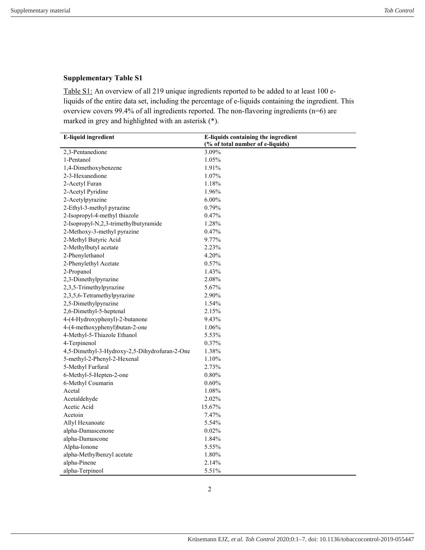<span id="page-1-0"></span>Table S1: An overview of all 219 unique ingredients reported to be added to at least 100 eliquids of the entire data set, including the percentage of e-liquids containing the ingredient. This overview covers 99.4% of all ingredients reported. The non-flavoring ingredients (n=6) are marked in grey and highlighted with an asterisk (\*).

| <b>E-liquid ingredient</b>                    | E-liquids containing the ingredient |
|-----------------------------------------------|-------------------------------------|
|                                               | (% of total number of e-liquids)    |
| 2,3-Pentanedione                              | 3.09%                               |
| 1-Pentanol                                    | 1.05%                               |
| 1,4-Dimethoxybenzene                          | 1.91%                               |
| 2-3-Hexanedione                               | 1.07%                               |
| 2-Acetyl Furan                                | 1.18%                               |
| 2-Acetyl Pyridine                             | 1.96%                               |
| 2-Acetylpyrazine                              | $6.00\%$                            |
| 2-Ethyl-3-methyl pyrazine                     | 0.79%                               |
| 2-Isopropyl-4-methyl thiazole                 | 0.47%                               |
| 2-Isopropyl-N,2,3-trimethylbutyramide         | 1.28%                               |
| 2-Methoxy-3-methyl pyrazine                   | 0.47%                               |
| 2-Methyl Butyric Acid                         | 9.77%                               |
| 2-Methylbutyl acetate                         | 2.23%                               |
| 2-Phenylethanol                               | 4.20%                               |
| 2-Phenylethyl Acetate                         | 0.57%                               |
| 2-Propanol                                    | 1.43%                               |
| 2,3-Dimethylpyrazine                          | 2.08%                               |
| 2,3,5-Trimethylpyrazine                       | 5.67%                               |
| 2,3,5,6-Tetramethylpyrazine                   | 2.90%                               |
| 2,5-Dimethylpyrazine                          | 1.54%                               |
| 2,6-Dimethyl-5-heptenal                       | 2.15%                               |
| 4-(4-Hydroxyphenyl)-2-butanone                | 9.43%                               |
| 4-(4-methoxyphenyl)butan-2-one                | 1.06%                               |
| 4-Methyl-5-Thiazole Ethanol                   | 5.53%                               |
| 4-Terpinenol                                  | 0.37%                               |
| 4,5-Dimethyl-3-Hydroxy-2,5-Dihydrofuran-2-One | 1.38%                               |
| 5-methyl-2-Phenyl-2-Hexenal                   | 1.10%                               |
| 5-Methyl Furfural                             | 2.73%                               |
| 6-Methyl-5-Hepten-2-one                       | $0.80\%$                            |
| 6-Methyl Coumarin                             | 0.60%                               |
| Acetal                                        | 1.08%                               |
| Acetaldehyde                                  | 2.02%                               |
| Acetic Acid                                   | 15.67%                              |
| Acetoin                                       | 7.47%                               |
| Allyl Hexanoate                               | 5.54%                               |
| alpha-Damascenone                             | 0.02%                               |
| alpha-Damascone                               | 1.84%                               |
| Alpha-Ionone                                  | 5.55%                               |
| alpha-Methylbenzyl acetate                    | 1.80%                               |
| alpha-Pinene                                  | 2.14%                               |
| alpha-Terpineol                               | 5.51%                               |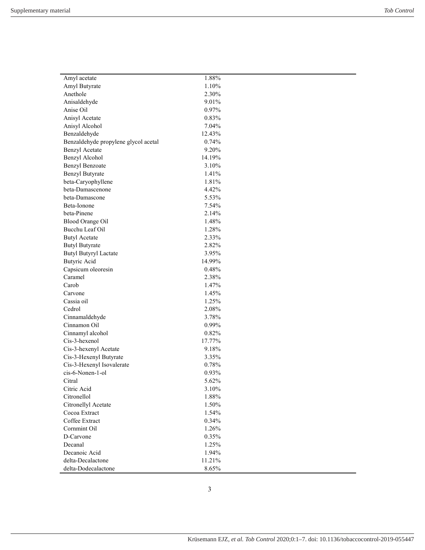| Amyl acetate                               | 1.88%          |  |
|--------------------------------------------|----------------|--|
| Amyl Butyrate                              | 1.10%          |  |
| Anethole                                   | 2.30%          |  |
| Anisaldehyde                               | 9.01%          |  |
| Anise Oil                                  | 0.97%          |  |
| Anisyl Acetate                             | 0.83%          |  |
| Anisyl Alcohol                             | 7.04%          |  |
| Benzaldehyde                               | 12.43%         |  |
| Benzaldehyde propylene glycol acetal       | 0.74%          |  |
| <b>Benzyl Acetate</b>                      | 9.20%          |  |
| Benzyl Alcohol                             | 14.19%         |  |
| <b>Benzyl Benzoate</b>                     | 3.10%          |  |
| <b>Benzyl Butyrate</b>                     | 1.41%          |  |
| beta-Caryophyllene                         | 1.81%          |  |
| beta-Damascenone                           | 4.42%          |  |
| beta-Damascone                             | 5.53%          |  |
|                                            |                |  |
| Beta-Ionone<br>beta-Pinene                 | 7.54%<br>2.14% |  |
|                                            | 1.48%          |  |
| <b>Blood Orange Oil</b><br>Bucchu Leaf Oil | 1.28%          |  |
|                                            |                |  |
| <b>Butyl Acetate</b>                       | 2.33%<br>2.82% |  |
| <b>Butyl Butyrate</b>                      |                |  |
| <b>Butyl Butyryl Lactate</b>               | 3.95%          |  |
| <b>Butyric Acid</b>                        | 14.99%         |  |
| Capsicum oleoresin                         | 0.48%          |  |
| Caramel                                    | 2.38%          |  |
| Carob                                      | 1.47%          |  |
| Carvone                                    | 1.45%          |  |
| Cassia oil                                 | 1.25%          |  |
| Cedrol                                     | 2.08%          |  |
| Cinnamaldehyde                             | 3.78%          |  |
| Cinnamon Oil                               | 0.99%          |  |
| Cinnamyl alcohol                           | 0.82%          |  |
| Cis-3-hexenol                              | 17.77%         |  |
| Cis-3-hexenyl Acetate                      | 9.18%          |  |
| Cis-3-Hexenyl Butyrate                     | 3.35%          |  |
| Cis-3-Hexenyl Isovalerate                  | 0.78%          |  |
| cis-6-Nonen-1-ol                           | 0.93%          |  |
| Citral                                     | 5.62%          |  |
| Citric Acid                                | 3.10%          |  |
| Citronellol                                | 1.88%          |  |
| Citronellyl Acetate                        | 1.50%          |  |
| Cocoa Extract                              | 1.54%          |  |
| Coffee Extract                             | 0.34%          |  |
| Cornmint Oil                               | 1.26%          |  |
| D-Carvone                                  | 0.35%          |  |
| Decanal                                    | 1.25%          |  |
| Decanoic Acid                              | 1.94%          |  |
| delta-Decalactone                          | 11.21%         |  |
| delta-Dodecalactone                        | 8.65%          |  |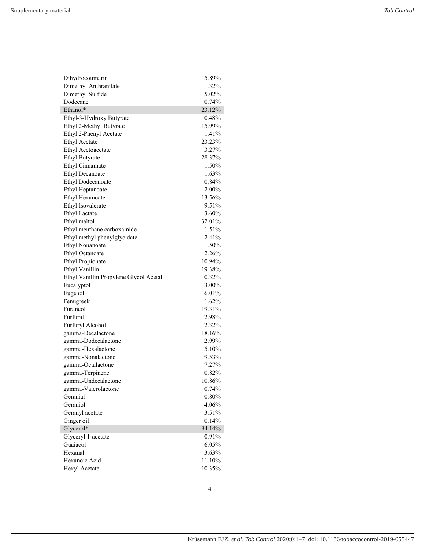÷,

| Dihydrocoumarin                        | 5.89%    |
|----------------------------------------|----------|
| Dimethyl Anthranilate                  | 1.32%    |
| Dimethyl Sulfide                       | 5.02%    |
| Dodecane                               | 0.74%    |
| Ethanol*                               | 23.12%   |
| Ethyl-3-Hydroxy Butyrate               | 0.48%    |
| Ethyl 2-Methyl Butyrate                | 15.99%   |
| Ethyl 2-Phenyl Acetate                 | 1.41%    |
| Ethyl Acetate                          | 23.23%   |
| Ethyl Acetoacetate                     | 3.27%    |
| <b>Ethyl Butyrate</b>                  | 28.37%   |
| Ethyl Cinnamate                        | 1.50%    |
| <b>Ethyl Decanoate</b>                 | 1.63%    |
|                                        |          |
| <b>Ethyl Dodecanoate</b>               | 0.84%    |
| Ethyl Heptanoate                       | 2.00%    |
| Ethyl Hexanoate                        | 13.56%   |
| Ethyl Isovalerate                      | 9.51%    |
| Ethyl Lactate                          | 3.60%    |
| Ethyl maltol                           | 32.01%   |
| Ethyl menthane carboxamide             | 1.51%    |
| Ethyl methyl phenylglycidate           | 2.41%    |
| Ethyl Nonanoate                        | 1.50%    |
| Ethyl Octanoate                        | 2.26%    |
| <b>Ethyl Propionate</b>                | 10.94%   |
| Ethyl Vanillin                         | 19.38%   |
| Ethyl Vanillin Propylene Glycol Acetal | 0.32%    |
| Eucalyptol                             | 3.00%    |
| Eugenol                                | 6.01%    |
| Fenugreek                              | 1.62%    |
| Furaneol                               | 19.31%   |
| Furfural                               | 2.98%    |
| Furfuryl Alcohol                       | 2.32%    |
| gamma-Decalactone                      | 18.16%   |
| gamma-Dodecalactone                    | 2.99%    |
| gamma-Hexalactone                      | 5.10%    |
| gamma-Nonalactone                      | 9.53%    |
| gamma-Octalactone                      | 7.27%    |
| gamma-Terpinene                        | 0.82%    |
| gamma-Undecalactone                    | 10.86%   |
|                                        | 0.74%    |
| gamma-Valerolactone<br>Geranial        |          |
|                                        | $0.80\%$ |
| Geraniol                               | 4.06%    |
| Geranyl acetate                        | 3.51%    |
| Ginger oil                             | 0.14%    |
| Glycerol*                              | 94.14%   |
| Glyceryl 1-acetate                     | 0.91%    |
| Guaiacol                               | 6.05%    |
| Hexanal                                | 3.63%    |
| Hexanoic Acid                          | 11.10%   |
| Hexyl Acetate                          | 10.35%   |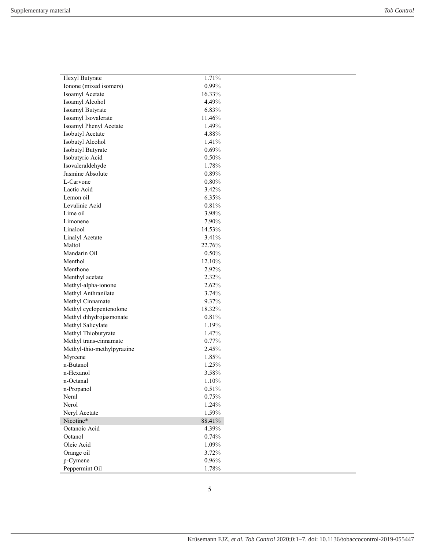| Hexyl Butyrate             | 1.71%    |  |
|----------------------------|----------|--|
| Ionone (mixed isomers)     | 0.99%    |  |
| Isoamyl Acetate            | 16.33%   |  |
| Isoamyl Alcohol            | 4.49%    |  |
| Isoamyl Butyrate           | 6.83%    |  |
| Isoamyl Isovalerate        | 11.46%   |  |
| Isoamyl Phenyl Acetate     | 1.49%    |  |
| Isobutyl Acetate           | 4.88%    |  |
| Isobutyl Alcohol           | 1.41%    |  |
| Isobutyl Butyrate          | 0.69%    |  |
| Isobutyric Acid            | 0.50%    |  |
| Isovaleraldehyde           | 1.78%    |  |
| Jasmine Absolute           | 0.89%    |  |
| L-Carvone                  | 0.80%    |  |
| Lactic Acid                | 3.42%    |  |
| Lemon oil                  | 6.35%    |  |
| Levulinic Acid             | 0.81%    |  |
| Lime oil                   | 3.98%    |  |
| Limonene                   | 7.90%    |  |
| Linalool                   | 14.53%   |  |
| Linalyl Acetate            | 3.41%    |  |
| Maltol                     | 22.76%   |  |
| Mandarin Oil               | 0.50%    |  |
| Menthol                    | 12.10%   |  |
| Menthone                   | 2.92%    |  |
| Menthyl acetate            | 2.32%    |  |
| Methyl-alpha-ionone        | 2.62%    |  |
| Methyl Anthranilate        | 3.74%    |  |
| Methyl Cinnamate           | 9.37%    |  |
| Methyl cyclopentenolone    | 18.32%   |  |
| Methyl dihydrojasmonate    | 0.81%    |  |
| Methyl Salicylate          | 1.19%    |  |
| Methyl Thiobutyrate        | 1.47%    |  |
| Methyl trans-cinnamate     | 0.77%    |  |
| Methyl-thio-methylpyrazine | 2.45%    |  |
| Myrcene                    | 1.85%    |  |
| n-Butanol                  | 1.25%    |  |
| n-Hexanol                  | 3.58%    |  |
| n-Octanal                  | 1.10%    |  |
| n-Propanol                 | $0.51\%$ |  |
| Neral                      | 0.75%    |  |
| Nerol                      | 1.24%    |  |
| Neryl Acetate              | 1.59%    |  |
| Nicotine*                  | 88.41%   |  |
| Octanoic Acid              | 4.39%    |  |
| Octanol                    | 0.74%    |  |
| Oleic Acid                 | 1.09%    |  |
| Orange oil                 | 3.72%    |  |
| p-Cymene                   | 0.96%    |  |
| Peppermint Oil             | 1.78%    |  |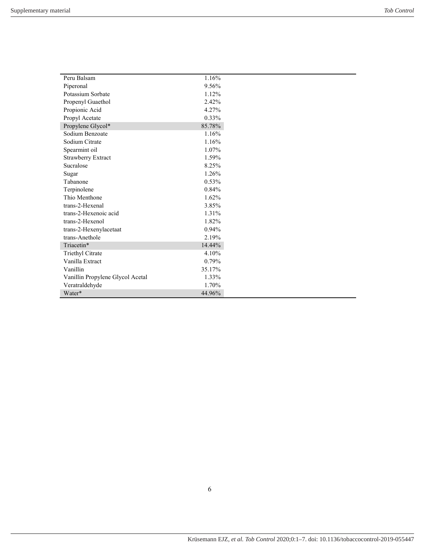| Peru Balsam                      | 1.16%    |
|----------------------------------|----------|
| Piperonal                        | 9.56%    |
| Potassium Sorbate                | 1.12%    |
| Propenyl Guaethol                | 2.42%    |
| Propionic Acid                   | 4.27%    |
| Propyl Acetate                   | $0.33\%$ |
| Propylene Glycol*                | 85.78%   |
| Sodium Benzoate                  | 1.16%    |
| Sodium Citrate                   | 1.16%    |
| Spearmint oil                    | 1.07%    |
| Strawberry Extract               | 1.59%    |
| Sucralose                        | 8.25%    |
| Sugar                            | 1.26%    |
| Tabanone                         | 0.53%    |
| Terpinolene                      | 0.84%    |
| Thio Menthone                    | 1.62%    |
| trans-2-Hexenal                  | 3.85%    |
| trans-2-Hexenoic acid            | 1.31%    |
| trans-2-Hexenol                  | 1.82%    |
| trans-2-Hexenylacetaat           | 0.94%    |
| trans-Anethole                   | 2.19%    |
| Triacetin*                       | 14.44%   |
| Triethyl Citrate                 | 4.10%    |
| Vanilla Extract                  | 0.79%    |
| Vanillin                         | 35.17%   |
| Vanillin Propylene Glycol Acetal | 1.33%    |
| Veratraldehyde                   | 1.70%    |
| Water*                           | 44.96%   |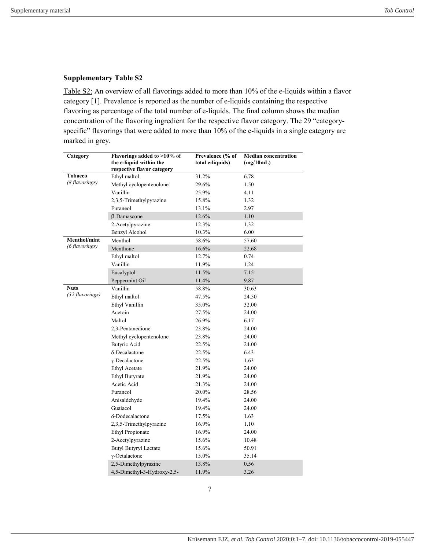<span id="page-6-0"></span>Table S2: An overview of all flavorings added to more than 10% of the e-liquids within a flavor category [1]. Prevalence is reported as the number of e-liquids containing the respective flavoring as percentage of the total number of e-liquids. The final column shows the median concentration of the flavoring ingredient for the respective flavor category. The 29 "categoryspecific" flavorings that were added to more than 10% of the e-liquids in a single category are marked in grey.

| Category        | Flavorings added to >10% of<br>the e-liquid within the<br>respective flavor category | Prevalence (% of<br>total e-liquids) | <b>Median concentration</b><br>(mg/10mL) |
|-----------------|--------------------------------------------------------------------------------------|--------------------------------------|------------------------------------------|
| Tobacco         | Ethyl maltol                                                                         | 31.2%                                | 6.78                                     |
| (8 flavorings)  | Methyl cyclopentenolone                                                              | 29.6%                                | 1.50                                     |
|                 | Vanillin                                                                             | 25.9%                                | 4.11                                     |
|                 | 2,3,5-Trimethylpyrazine                                                              | 15.8%                                | 1.32                                     |
|                 | Furaneol                                                                             | 13.1%                                | 2.97                                     |
|                 | $\beta$ -Damascone                                                                   | 12.6%                                | 1.10                                     |
|                 | 2-Acetylpyrazine                                                                     | 12.3%                                | 1.32                                     |
|                 | Benzyl Alcohol                                                                       | 10.3%                                | 6.00                                     |
| Menthol/mint    | Menthol                                                                              | 58.6%                                | 57.60                                    |
| (6 flavorings)  | Menthone                                                                             | 16.6%                                | 22.68                                    |
|                 | Ethyl maltol                                                                         | 12.7%                                | 0.74                                     |
|                 | Vanillin                                                                             | 11.9%                                | 1.24                                     |
|                 | Eucalyptol                                                                           | 11.5%                                | 7.15                                     |
|                 | Peppermint Oil                                                                       | 11.4%                                | 9.87                                     |
| <b>Nuts</b>     | Vanillin                                                                             | 58.8%                                | 30.63                                    |
| (32 flavorings) | Ethyl maltol                                                                         | 47.5%                                | 24.50                                    |
|                 | Ethyl Vanillin                                                                       | 35.0%                                | 32.00                                    |
|                 | Acetoin                                                                              | 27.5%                                | 24.00                                    |
|                 | Maltol                                                                               | 26.9%                                | 6.17                                     |
|                 | 2,3-Pentanedione                                                                     | 23.8%                                | 24.00                                    |
|                 | Methyl cyclopentenolone                                                              | 23.8%                                | 24.00                                    |
|                 | Butyric Acid                                                                         | 22.5%                                | 24.00                                    |
|                 | δ-Decalactone                                                                        | 22.5%                                | 6.43                                     |
|                 | $\gamma$ -Decalactone                                                                | 22.5%                                | 1.63                                     |
|                 | <b>Ethyl Acetate</b>                                                                 | 21.9%                                | 24.00                                    |
|                 | <b>Ethyl Butyrate</b>                                                                | 21.9%                                | 24.00                                    |
|                 | Acetic Acid                                                                          | 21.3%                                | 24.00                                    |
|                 | Furaneol                                                                             | 20.0%                                | 28.56                                    |
|                 | Anisaldehyde                                                                         | 19.4%                                | 24.00                                    |
|                 | Guaiacol                                                                             | 19.4%                                | 24.00                                    |
|                 | δ-Dodecalactone                                                                      | 17.5%                                | 1.63                                     |
|                 | 2,3,5-Trimethylpyrazine                                                              | 16.9%                                | 1.10                                     |
|                 | <b>Ethyl Propionate</b>                                                              | 16.9%                                | 24.00                                    |
|                 | 2-Acetylpyrazine                                                                     | 15.6%                                | 10.48                                    |
|                 | <b>Butyl Butyryl Lactate</b>                                                         | 15.6%                                | 50.91                                    |
|                 | $\gamma$ -Octalactone                                                                | 15.0%                                | 35.14                                    |
|                 | 2,5-Dimethylpyrazine                                                                 | 13.8%                                | 0.56                                     |
|                 | 4,5-Dimethyl-3-Hydroxy-2,5-                                                          | 11.9%                                | 3.26                                     |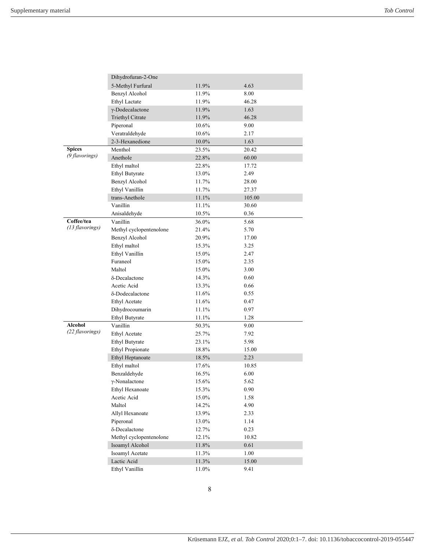|                 | Dihydrofuran-2-One      |       |        |
|-----------------|-------------------------|-------|--------|
|                 | 5-Methyl Furfural       | 11.9% | 4.63   |
|                 | Benzyl Alcohol          | 11.9% | 8.00   |
|                 | <b>Ethyl Lactate</b>    | 11.9% | 46.28  |
|                 | γ-Dodecalactone         | 11.9% | 1.63   |
|                 | Triethyl Citrate        | 11.9% | 46.28  |
|                 | Piperonal               | 10.6% | 9.00   |
|                 | Veratraldehyde          | 10.6% | 2.17   |
|                 | 2-3-Hexanedione         | 10.0% | 1.63   |
| <b>Spices</b>   | Menthol                 | 23.5% | 20.42  |
| (9 flavorings)  | Anethole                | 22.8% | 60.00  |
|                 | Ethyl maltol            | 22.8% | 17.72  |
|                 | <b>Ethyl Butyrate</b>   | 13.0% | 2.49   |
|                 | Benzyl Alcohol          | 11.7% | 28.00  |
|                 | Ethyl Vanillin          | 11.7% | 27.37  |
|                 | trans-Anethole          | 11.1% | 105.00 |
|                 | Vanillin                | 11.1% | 30.60  |
|                 | Anisaldehyde            | 10.5% | 0.36   |
| Coffee/tea      | Vanillin                | 36.0% | 5.68   |
| (13 flavorings) | Methyl cyclopentenolone | 21.4% | 5.70   |
|                 | Benzyl Alcohol          | 20.9% | 17.00  |
|                 | Ethyl maltol            | 15.3% | 3.25   |
|                 | Ethyl Vanillin          | 15.0% | 2.47   |
|                 | Furaneol                | 15.0% | 2.35   |
|                 | Maltol                  | 15.0% | 3.00   |
|                 | δ-Decalactone           | 14.3% | 0.60   |
|                 | Acetic Acid             | 13.3% | 0.66   |
|                 | δ-Dodecalactone         | 11.6% | 0.55   |
|                 | <b>Ethyl Acetate</b>    | 11.6% | 0.47   |
|                 | Dihydrocoumarin         | 11.1% | 0.97   |
|                 | <b>Ethyl Butyrate</b>   | 11.1% | 1.28   |
| <b>Alcohol</b>  | Vanillin                | 50.3% | 9.00   |
| (22 flavorings) | <b>Ethyl Acetate</b>    | 25.7% | 7.92   |
|                 | <b>Ethyl Butyrate</b>   | 23.1% | 5.98   |
|                 | <b>Ethyl Propionate</b> | 18.8% | 15.00  |
|                 | Ethyl Heptanoate        | 18.5% | 2.23   |
|                 | Ethyl maltol            | 17.6% | 10.85  |
|                 | Benzaldehyde            | 16.5% | 6.00   |
|                 | $\gamma$ -Nonalactone   | 15.6% | 5.62   |
|                 | Ethyl Hexanoate         | 15.3% | 0.90   |
|                 | Acetic Acid             | 15.0% | 1.58   |
|                 | Maltol                  | 14.2% | 4.90   |
|                 | Allyl Hexanoate         | 13.9% | 2.33   |
|                 | Piperonal               | 13.0% | 1.14   |
|                 | δ-Decalactone           | 12.7% | 0.23   |
|                 | Methyl cyclopentenolone | 12.1% | 10.82  |
|                 | Isoamyl Alcohol         | 11.8% | 0.61   |
|                 | Isoamyl Acetate         | 11.3% | 1.00   |
|                 | Lactic Acid             | 11.3% | 15.00  |
|                 | Ethyl Vanillin          | 11.0% | 9.41   |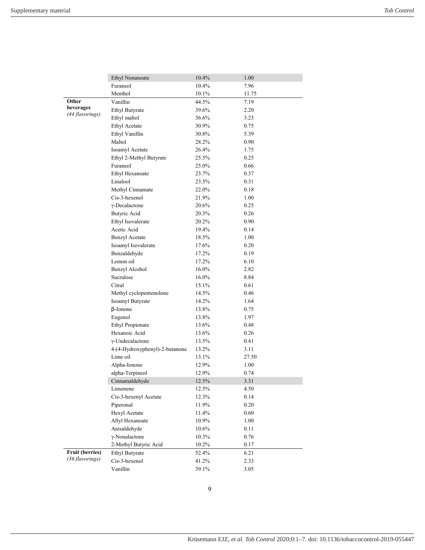|                        | <b>Ethyl Nonanoate</b>         | 10.4% | 1.00  |
|------------------------|--------------------------------|-------|-------|
|                        | Furaneol                       | 10.4% | 7.96  |
|                        | Menthol                        | 10.1% | 11.75 |
| Other                  | Vanillin                       | 44.5% | 7.19  |
| beverages              | <b>Ethyl Butyrate</b>          | 39.6% | 2.20  |
| (44 flavorings)        | Ethyl maltol                   | 36.6% | 3.23  |
|                        | Ethyl Acetate                  | 30.9% | 0.75  |
|                        | Ethyl Vanillin                 | 30.8% | 5.39  |
|                        | Maltol                         | 28.2% | 0.90  |
|                        | Isoamyl Acetate                | 26.4% | 1.75  |
|                        | Ethyl 2-Methyl Butyrate        | 25.5% | 0.25  |
|                        | Furaneol                       | 25.0% | 0.66  |
|                        | Ethyl Hexanoate                | 23.7% | 0.37  |
|                        | Linalool                       | 23.5% | 0.31  |
|                        | Methyl Cinnamate               | 22.0% | 0.18  |
|                        | Cis-3-hexenol                  | 21.9% | 1.00  |
|                        | $\gamma$ -Decalactone          | 20.6% | 0.25  |
|                        | Butyric Acid                   | 20.3% | 0.26  |
|                        | Ethyl Isovalerate              | 20.2% | 0.90  |
|                        | Acetic Acid                    | 19.4% | 0.14  |
|                        | <b>Benzyl Acetate</b>          | 18.5% | 1.00  |
|                        | Isoamyl Isovalerate            | 17.6% | 0.20  |
|                        | Benzaldehyde                   | 17.2% | 0.19  |
|                        | Lemon oil                      | 17.2% | 6.10  |
|                        | Benzyl Alcohol                 | 16.0% | 2.82  |
|                        | Sucralose                      | 16.0% | 8.84  |
|                        | Citral                         | 15.1% | 0.61  |
|                        | Methyl cyclopentenolone        | 14.5% | 0.46  |
|                        | Isoamyl Butyrate               | 14.2% | 1.64  |
|                        | $\beta$ -Ionone                | 13.8% | 0.75  |
|                        | Eugenol                        | 13.8% | 1.97  |
|                        | <b>Ethyl Propionate</b>        | 13.6% | 0.48  |
|                        | Hexanoic Acid                  | 13.6% | 0.26  |
|                        | $\gamma$ -Undecalactone        | 13.5% | 0.41  |
|                        | 4-(4-Hydroxyphenyl)-2-butanone | 13.2% | 3.11  |
|                        | Lime oil                       | 13.1% | 27.50 |
|                        | Alpha-Ionone                   | 12.9% | 1.00  |
|                        | alpha-Terpineol                | 12.9% | 0.74  |
|                        | Cinnamaldehyde                 | 12.5% | 3.31  |
|                        | Limonene                       | 12.5% | 4.50  |
|                        | Cis-3-hexenyl Acetate          | 12.3% | 0.14  |
|                        | Piperonal                      | 11.9% | 0.20  |
|                        | Hexyl Acetate                  | 11.4% | 0.60  |
|                        | Allyl Hexanoate                | 10.9% | 1.00  |
|                        | Anisaldehyde                   | 10.6% | 0.11  |
|                        | $\gamma$ -Nonalactone          | 10.3% | 0.76  |
|                        | 2-Methyl Butyric Acid          | 10.2% | 0.17  |
| <b>Fruit (berries)</b> | Ethyl Butyrate                 | 52.4% | 6.21  |
| (36 flavorings)        | Cis-3-hexenol                  | 41.2% | 2.33  |
|                        | Vanillin                       | 39.1% | 3.05  |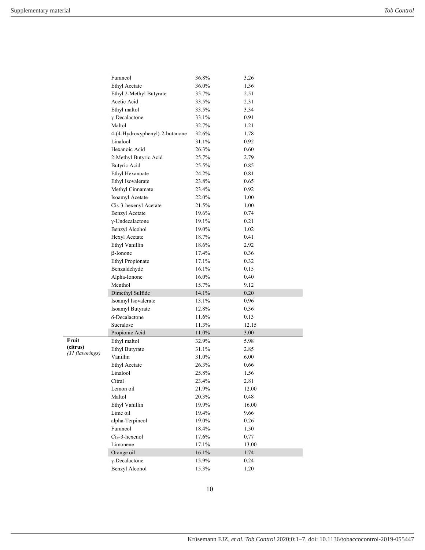|                 | Furaneol                       | 36.8% | 3.26  |
|-----------------|--------------------------------|-------|-------|
|                 | Ethyl Acetate                  | 36.0% | 1.36  |
|                 | Ethyl 2-Methyl Butyrate        | 35.7% | 2.51  |
|                 | Acetic Acid                    | 33.5% | 2.31  |
|                 | Ethyl maltol                   | 33.5% | 3.34  |
|                 | $\gamma$ -Decalactone          | 33.1% | 0.91  |
|                 | Maltol                         | 32.7% | 1.21  |
|                 | 4-(4-Hydroxyphenyl)-2-butanone | 32.6% | 1.78  |
|                 | Linalool                       | 31.1% | 0.92  |
|                 | Hexanoic Acid                  | 26.3% | 0.60  |
|                 | 2-Methyl Butyric Acid          | 25.7% | 2.79  |
|                 | Butyric Acid                   | 25.5% | 0.85  |
|                 | Ethyl Hexanoate                | 24.2% | 0.81  |
|                 | Ethyl Isovalerate              | 23.8% | 0.65  |
|                 | Methyl Cinnamate               | 23.4% | 0.92  |
|                 | Isoamyl Acetate                | 22.0% | 1.00  |
|                 | Cis-3-hexenyl Acetate          | 21.5% | 1.00  |
|                 | <b>Benzyl Acetate</b>          | 19.6% | 0.74  |
|                 | $\gamma$ -Undecalactone        | 19.1% | 0.21  |
|                 | Benzyl Alcohol                 | 19.0% | 1.02  |
|                 | Hexyl Acetate                  | 18.7% | 0.41  |
|                 | Ethyl Vanillin                 | 18.6% | 2.92  |
|                 | $\beta$ -Ionone                | 17.4% | 0.36  |
|                 | <b>Ethyl Propionate</b>        | 17.1% | 0.32  |
|                 | Benzaldehyde                   | 16.1% | 0.15  |
|                 | Alpha-Ionone                   | 16.0% | 0.40  |
|                 | Menthol                        | 15.7% | 9.12  |
|                 | Dimethyl Sulfide               | 14.1% | 0.20  |
|                 | Isoamyl Isovalerate            | 13.1% | 0.96  |
|                 | Isoamyl Butyrate               | 12.8% | 0.36  |
|                 | δ-Decalactone                  | 11.6% | 0.13  |
|                 | Sucralose                      | 11.3% | 12.15 |
|                 | Propionic Acid                 | 11.0% | 3.00  |
| Fruit           | Ethyl maltol                   | 32.9% | 5.98  |
| (citrus)        | Ethyl Butyrate                 | 31.1% | 2.85  |
| (31 flavorings) | Vanillin                       | 31.0% | 6.00  |
|                 | <b>Ethyl Acetate</b>           | 26.3% | 0.66  |
|                 | Linalool                       | 25.8% | 1.56  |
|                 | Citral                         | 23.4% | 2.81  |
|                 | Lemon oil                      | 21.9% | 12.00 |
|                 | Maltol                         | 20.3% | 0.48  |
|                 | Ethyl Vanillin                 | 19.9% | 16.00 |
|                 | Lime oil                       | 19.4% | 9.66  |
|                 | alpha-Terpineol                | 19.0% | 0.26  |
|                 | Furaneol                       | 18.4% | 1.50  |
|                 | Cis-3-hexenol                  | 17.6% | 0.77  |
|                 | Limonene                       | 17.1% | 13.00 |
|                 | Orange oil                     | 16.1% | 1.74  |
|                 | $\gamma$ -Decalactone          | 15.9% | 0.24  |
|                 | Benzyl Alcohol                 | 15.3% | 1.20  |
|                 |                                |       |       |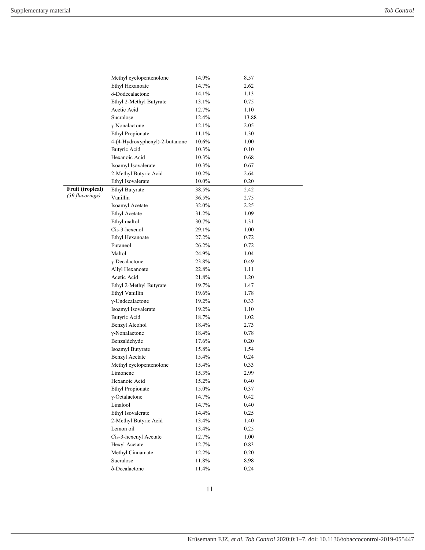|                  | Methyl cyclopentenolone        | 14.9%    | 8.57  |
|------------------|--------------------------------|----------|-------|
|                  | Ethyl Hexanoate                | 14.7%    | 2.62  |
|                  | δ-Dodecalactone                | 14.1%    | 1.13  |
|                  | Ethyl 2-Methyl Butyrate        | 13.1%    | 0.75  |
|                  | Acetic Acid                    | 12.7%    | 1.10  |
|                  | Sucralose                      | 12.4%    | 13.88 |
|                  | $\gamma$ -Nonalactone          | 12.1%    | 2.05  |
|                  | <b>Ethyl Propionate</b>        | 11.1%    | 1.30  |
|                  | 4-(4-Hydroxyphenyl)-2-butanone | $10.6\%$ | 1.00  |
|                  | Butyric Acid                   | 10.3%    | 0.10  |
|                  | Hexanoic Acid                  | 10.3%    | 0.68  |
|                  | Isoamyl Isovalerate            | 10.3%    | 0.67  |
|                  | 2-Methyl Butyric Acid          | 10.2%    | 2.64  |
|                  | Ethyl Isovalerate              | 10.0%    | 0.20  |
| Fruit (tropical) | <b>Ethyl Butyrate</b>          | 38.5%    | 2.42  |
| (39 flavorings)  | Vanillin                       | 36.5%    | 2.75  |
|                  | Isoamyl Acetate                | 32.0%    | 2.25  |
|                  | <b>Ethyl Acetate</b>           | 31.2%    | 1.09  |
|                  | Ethyl maltol                   | 30.7%    | 1.31  |
|                  | Cis-3-hexenol                  | 29.1%    | 1.00  |
|                  | Ethyl Hexanoate                | 27.2%    | 0.72  |
|                  | Furaneol                       | 26.2%    | 0.72  |
|                  | Maltol                         | 24.9%    | 1.04  |
|                  | $\gamma$ -Decalactone          | 23.8%    | 0.49  |
|                  | Allyl Hexanoate                | 22.8%    | 1.11  |
|                  | Acetic Acid                    | 21.8%    | 1.20  |
|                  | Ethyl 2-Methyl Butyrate        | 19.7%    | 1.47  |
|                  | Ethyl Vanillin                 | 19.6%    | 1.78  |
|                  | γ-Undecalactone                | 19.2%    | 0.33  |
|                  | Isoamyl Isovalerate            | 19.2%    | 1.10  |
|                  | <b>Butyric Acid</b>            | 18.7%    | 1.02  |
|                  | Benzyl Alcohol                 | 18.4%    | 2.73  |
|                  | $\gamma$ -Nonalactone          | 18.4%    | 0.78  |
|                  | Benzaldehyde                   | 17.6%    | 0.20  |
|                  | Isoamyl Butyrate               | 15.8%    | 1.54  |
|                  | <b>Benzyl Acetate</b>          | 15.4%    | 0.24  |
|                  | Methyl cyclopentenolone        | 15.4%    | 0.33  |
|                  | Limonene                       | 15.3%    | 2.99  |
|                  | Hexanoic Acid                  | 15.2%    | 0.40  |
|                  | <b>Ethyl Propionate</b>        | 15.0%    | 0.37  |
|                  | γ-Octalactone                  | 14.7%    | 0.42  |
|                  | Linalool                       | 14.7%    | 0.40  |
|                  | Ethyl Isovalerate              | 14.4%    | 0.25  |
|                  | 2-Methyl Butyric Acid          | 13.4%    | 1.40  |
|                  | Lemon oil                      | 13.4%    | 0.25  |
|                  | Cis-3-hexenyl Acetate          | 12.7%    | 1.00  |
|                  | Hexyl Acetate                  | 12.7%    | 0.83  |
|                  | Methyl Cinnamate               | 12.2%    | 0.20  |
|                  | Sucralose                      | 11.8%    | 8.98  |
|                  | δ-Decalactone                  | 11.4%    | 0.24  |
|                  |                                |          |       |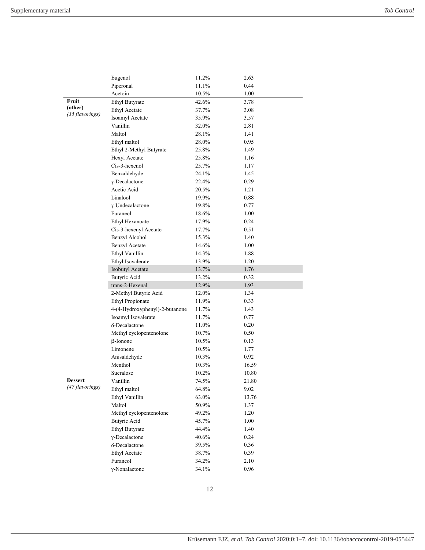|                 | Eugenol                        | 11.2% | 2.63  |
|-----------------|--------------------------------|-------|-------|
|                 | Piperonal                      | 11.1% | 0.44  |
|                 | Acetoin                        | 10.5% | 1.00  |
| Fruit           | <b>Ethyl Butyrate</b>          | 42.6% | 3.78  |
| (other)         | Ethyl Acetate                  | 37.7% | 3.08  |
| (35 flavorings) | Isoamyl Acetate                | 35.9% | 3.57  |
|                 | Vanillin                       | 32.0% | 2.81  |
|                 | Maltol                         | 28.1% | 1.41  |
|                 | Ethyl maltol                   | 28.0% | 0.95  |
|                 | Ethyl 2-Methyl Butyrate        | 25.8% | 1.49  |
|                 | Hexyl Acetate                  | 25.8% | 1.16  |
|                 | Cis-3-hexenol                  | 25.7% | 1.17  |
|                 | Benzaldehyde                   | 24.1% | 1.45  |
|                 | $\gamma$ -Decalactone          | 22.4% | 0.29  |
|                 | Acetic Acid                    | 20.5% | 1.21  |
|                 | Linalool                       | 19.9% | 0.88  |
|                 | γ-Undecalactone                | 19.8% | 0.77  |
|                 | Furaneol                       | 18.6% | 1.00  |
|                 | Ethyl Hexanoate                | 17.9% | 0.24  |
|                 | Cis-3-hexenyl Acetate          | 17.7% | 0.51  |
|                 | Benzyl Alcohol                 | 15.3% | 1.40  |
|                 | <b>Benzyl Acetate</b>          | 14.6% | 1.00  |
|                 | Ethyl Vanillin                 | 14.3% | 1.88  |
|                 | Ethyl Isovalerate              | 13.9% | 1.20  |
|                 | Isobutyl Acetate               | 13.7% | 1.76  |
|                 | <b>Butyric Acid</b>            | 13.2% | 0.32  |
|                 | trans-2-Hexenal                | 12.9% | 1.93  |
|                 | 2-Methyl Butyric Acid          | 12.0% | 1.34  |
|                 | <b>Ethyl Propionate</b>        | 11.9% | 0.33  |
|                 | 4-(4-Hydroxyphenyl)-2-butanone | 11.7% | 1.43  |
|                 | Isoamyl Isovalerate            | 11.7% | 0.77  |
|                 | δ-Decalactone                  | 11.0% | 0.20  |
|                 | Methyl cyclopentenolone        | 10.7% | 0.50  |
|                 | $\beta$ -Ionone                | 10.5% | 0.13  |
|                 | Limonene                       | 10.5% | 1.77  |
|                 | Anisaldehyde                   | 10.3% | 0.92  |
|                 | Menthol                        | 10.3% | 16.59 |
|                 | Sucralose                      | 10.2% | 10.80 |
| <b>Dessert</b>  | Vanillin                       | 74.5% | 21.80 |
| (47 flavorings) | Ethyl maltol                   | 64.8% | 9.02  |
|                 | Ethyl Vanillin                 | 63.0% | 13.76 |
|                 | Maltol                         | 50.9% | 1.37  |
|                 | Methyl cyclopentenolone        | 49.2% | 1.20  |
|                 | <b>Butyric Acid</b>            | 45.7% | 1.00  |
|                 | Ethyl Butyrate                 | 44.4% | 1.40  |
|                 | $\gamma$ -Decalactone          | 40.6% | 0.24  |
|                 | δ-Decalactone                  | 39.5% | 0.36  |
|                 | <b>Ethyl Acetate</b>           | 38.7% | 0.39  |
|                 | Furaneol                       | 34.2% | 2.10  |
|                 | $\gamma$ -Nonalactone          | 34.1% | 0.96  |
|                 |                                |       |       |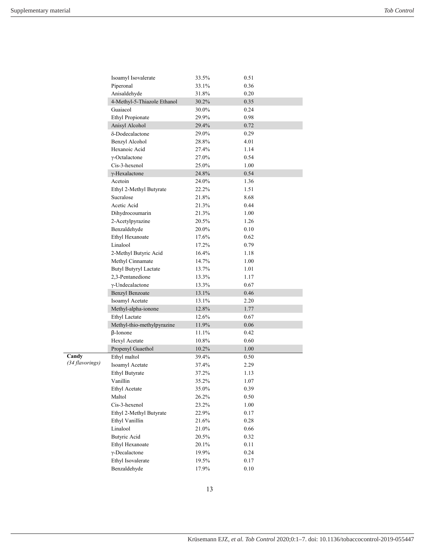|                 | Isoamyl Isovalerate          | 33.5%    |          | 0.51 |  |  |  |  |
|-----------------|------------------------------|----------|----------|------|--|--|--|--|
|                 | Piperonal                    | 33.1%    | 0.36     |      |  |  |  |  |
|                 | Anisaldehyde                 | 31.8%    | 0.20     |      |  |  |  |  |
|                 | 4-Methyl-5-Thiazole Ethanol  | 30.2%    | 0.35     |      |  |  |  |  |
|                 | Guaiacol                     | 30.0%    | 0.24     |      |  |  |  |  |
|                 | <b>Ethyl Propionate</b>      | 29.9%    | 0.98     |      |  |  |  |  |
|                 | Anisyl Alcohol               | 29.4%    | 0.72     |      |  |  |  |  |
|                 | δ-Dodecalactone              | 29.0%    | 0.29     |      |  |  |  |  |
|                 | Benzyl Alcohol               | 28.8%    | 4.01     |      |  |  |  |  |
|                 | Hexanoic Acid                | 27.4%    | 1.14     |      |  |  |  |  |
|                 | γ-Octalactone                | 27.0%    | 0.54     |      |  |  |  |  |
|                 | Cis-3-hexenol                | 25.0%    | 1.00     |      |  |  |  |  |
|                 | γ-Hexalactone                | 24.8%    | 0.54     |      |  |  |  |  |
|                 | Acetoin                      | 24.0%    | 1.36     |      |  |  |  |  |
|                 | Ethyl 2-Methyl Butyrate      | 22.2%    | 1.51     |      |  |  |  |  |
|                 | Sucralose                    | 21.8%    | 8.68     |      |  |  |  |  |
|                 | Acetic Acid                  | 21.3%    | 0.44     |      |  |  |  |  |
|                 | Dihydrocoumarin              | 21.3%    | 1.00     |      |  |  |  |  |
|                 | 2-Acetylpyrazine             | 20.5%    | 1.26     |      |  |  |  |  |
|                 | Benzaldehyde                 | 20.0%    | 0.10     |      |  |  |  |  |
|                 | Ethyl Hexanoate              | 17.6%    | 0.62     |      |  |  |  |  |
|                 | Linalool                     | 17.2%    | 0.79     |      |  |  |  |  |
|                 | 2-Methyl Butyric Acid        | 16.4%    | 1.18     |      |  |  |  |  |
|                 | Methyl Cinnamate             | 14.7%    | 1.00     |      |  |  |  |  |
|                 | <b>Butyl Butyryl Lactate</b> | 13.7%    | 1.01     |      |  |  |  |  |
|                 | 2,3-Pentanedione             | 13.3%    | 1.17     |      |  |  |  |  |
|                 | γ-Undecalactone              | 13.3%    | 0.67     |      |  |  |  |  |
|                 | Benzyl Benzoate              | 13.1%    | 0.46     |      |  |  |  |  |
|                 | Isoamyl Acetate              | 13.1%    | 2.20     |      |  |  |  |  |
|                 | Methyl-alpha-ionone          | 12.8%    | 1.77     |      |  |  |  |  |
|                 | <b>Ethyl Lactate</b>         | 12.6%    | 0.67     |      |  |  |  |  |
|                 | Methyl-thio-methylpyrazine   | 11.9%    | 0.06     |      |  |  |  |  |
|                 | $\beta$ -Ionone              | 11.1%    | 0.42     |      |  |  |  |  |
|                 | Hexyl Acetate                | 10.8%    |          | 0.60 |  |  |  |  |
|                 | Propenyl Guaethol            | $10.2\%$ | 1.00     |      |  |  |  |  |
| Candy           | Ethyl maltol                 | 39.4%    | 0.50     |      |  |  |  |  |
| (34 flavorings) | Isoamyl Acetate              | 37.4%    | 2.29     |      |  |  |  |  |
|                 | <b>Ethyl Butyrate</b>        | 37.2%    | 1.13     |      |  |  |  |  |
|                 | Vanillin                     | 35.2%    | 1.07     |      |  |  |  |  |
|                 | <b>Ethyl Acetate</b>         | 35.0%    | $0.39\,$ |      |  |  |  |  |
|                 | Maltol                       | 26.2%    | 0.50     |      |  |  |  |  |
|                 | Cis-3-hexenol                | 23.2%    | 1.00     |      |  |  |  |  |
|                 | Ethyl 2-Methyl Butyrate      | 22.9%    | 0.17     |      |  |  |  |  |
|                 | Ethyl Vanillin               | 21.6%    | 0.28     |      |  |  |  |  |
|                 | Linalool                     | 21.0%    | 0.66     |      |  |  |  |  |
|                 | <b>Butyric Acid</b>          | 20.5%    | 0.32     |      |  |  |  |  |
|                 | Ethyl Hexanoate              | 20.1%    | 0.11     |      |  |  |  |  |
|                 | $\gamma$ -Decalactone        | 19.9%    | 0.24     |      |  |  |  |  |
|                 | Ethyl Isovalerate            | 19.5%    | 0.17     |      |  |  |  |  |
|                 | Benzaldehyde                 | 17.9%    | 0.10     |      |  |  |  |  |
|                 |                              |          |          |      |  |  |  |  |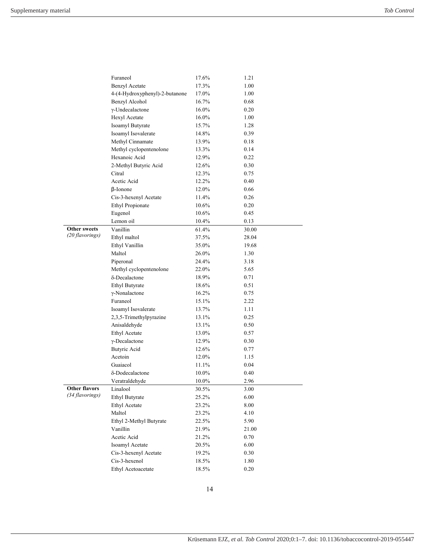|                      | Furaneol                       | 17.6% | 1.21  |  |  |  |
|----------------------|--------------------------------|-------|-------|--|--|--|
|                      | <b>Benzyl Acetate</b>          | 17.3% | 1.00  |  |  |  |
|                      | 4-(4-Hydroxyphenyl)-2-butanone | 17.0% | 1.00  |  |  |  |
|                      | Benzyl Alcohol                 | 16.7% | 0.68  |  |  |  |
|                      | $\gamma$ -Undecalactone        | 16.0% | 0.20  |  |  |  |
|                      | Hexyl Acetate                  | 16.0% | 1.00  |  |  |  |
|                      | Isoamyl Butyrate               | 15.7% | 1.28  |  |  |  |
|                      | Isoamyl Isovalerate            | 14.8% | 0.39  |  |  |  |
|                      | Methyl Cinnamate               | 13.9% | 0.18  |  |  |  |
|                      | Methyl cyclopentenolone        | 13.3% | 0.14  |  |  |  |
|                      | Hexanoic Acid                  | 12.9% | 0.22  |  |  |  |
|                      | 2-Methyl Butyric Acid          | 12.6% | 0.30  |  |  |  |
|                      | Citral                         | 12.3% | 0.75  |  |  |  |
|                      | Acetic Acid                    | 12.2% | 0.40  |  |  |  |
|                      | $\beta$ -Ionone                | 12.0% | 0.66  |  |  |  |
|                      | Cis-3-hexenyl Acetate          | 11.4% | 0.26  |  |  |  |
|                      | <b>Ethyl Propionate</b>        | 10.6% | 0.20  |  |  |  |
|                      | Eugenol                        | 10.6% | 0.45  |  |  |  |
|                      | Lemon oil                      | 10.4% | 0.13  |  |  |  |
| <b>Other sweets</b>  | Vanillin                       | 61.4% | 30.00 |  |  |  |
| (20 flavorings)      | Ethyl maltol                   | 37.5% | 28.04 |  |  |  |
|                      | Ethyl Vanillin                 | 35.0% | 19.68 |  |  |  |
|                      | Maltol                         | 26.0% | 1.30  |  |  |  |
|                      | Piperonal                      | 24.4% | 3.18  |  |  |  |
|                      | Methyl cyclopentenolone        | 22.0% | 5.65  |  |  |  |
|                      | δ-Decalactone                  | 18.9% | 0.71  |  |  |  |
|                      | <b>Ethyl Butyrate</b>          | 18.6% | 0.51  |  |  |  |
|                      | $\gamma$ -Nonalactone          | 16.2% | 0.75  |  |  |  |
|                      | Furaneol                       | 15.1% | 2.22  |  |  |  |
|                      | Isoamyl Isovalerate            | 13.7% | 1.11  |  |  |  |
|                      | 2,3,5-Trimethylpyrazine        | 13.1% | 0.25  |  |  |  |
|                      | Anisaldehyde                   | 13.1% | 0.50  |  |  |  |
|                      | Ethyl Acetate                  | 13.0% | 0.57  |  |  |  |
|                      | $\gamma$ -Decalactone          | 12.9% | 0.30  |  |  |  |
|                      | Butyric Acid                   | 12.6% | 0.77  |  |  |  |
|                      | Acetoin                        | 12.0% | 1.15  |  |  |  |
|                      | Guaiacol                       | 11.1% | 0.04  |  |  |  |
|                      | δ-Dodecalactone                | 10.0% | 0.40  |  |  |  |
|                      | Veratraldehyde                 | 10.0% | 2.96  |  |  |  |
| <b>Other flavors</b> | Linalool                       | 30.5% | 3.00  |  |  |  |
| (34 flavorings)      | <b>Ethyl Butyrate</b>          | 25.2% | 6.00  |  |  |  |
|                      | Ethyl Acetate                  | 23.2% | 8.00  |  |  |  |
|                      | Maltol                         | 23.2% | 4.10  |  |  |  |
|                      | Ethyl 2-Methyl Butyrate        | 22.5% | 5.90  |  |  |  |
|                      | Vanillin                       | 21.9% | 21.00 |  |  |  |
|                      | Acetic Acid                    | 21.2% | 0.70  |  |  |  |
|                      | Isoamyl Acetate                | 20.5% | 6.00  |  |  |  |
|                      | Cis-3-hexenyl Acetate          | 19.2% | 0.30  |  |  |  |
|                      | Cis-3-hexenol                  | 18.5% | 1.80  |  |  |  |
|                      | Ethyl Acetoacetate             | 18.5% | 0.20  |  |  |  |
|                      |                                |       |       |  |  |  |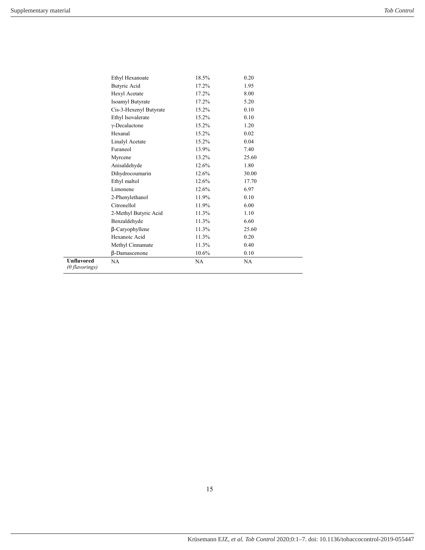|                                     | Ethyl Hexanoate         | 18.5% | 0.20  |  |
|-------------------------------------|-------------------------|-------|-------|--|
|                                     | Butyric Acid            | 17.2% | 1.95  |  |
|                                     | Hexyl Acetate           | 17.2% | 8.00  |  |
|                                     | <b>Isoamyl Butyrate</b> | 17.2% | 5.20  |  |
|                                     | Cis-3-Hexenyl Butyrate  | 15.2% | 0.10  |  |
|                                     | Ethyl Isovalerate       | 15.2% | 0.10  |  |
|                                     | $\gamma$ -Decalactone   | 15.2% | 1.20  |  |
|                                     | Hexanal                 | 15.2% | 0.02  |  |
|                                     | Linalyl Acetate         | 15.2% | 0.04  |  |
|                                     | Furaneol                | 13.9% | 7.40  |  |
|                                     | Myrcene                 | 13.2% | 25.60 |  |
|                                     | Anisaldehyde            | 12.6% | 1.80  |  |
|                                     | Dihydrocoumarin         | 12.6% | 30.00 |  |
|                                     | Ethyl maltol            | 12.6% | 17.70 |  |
|                                     | Limonene                | 12.6% | 6.97  |  |
|                                     | 2-Phenylethanol         | 11.9% | 0.10  |  |
|                                     | Citronellol             | 11.9% | 6.00  |  |
|                                     | 2-Methyl Butyric Acid   | 11.3% | 1.10  |  |
|                                     | Benzaldehyde            | 11.3% | 6.60  |  |
|                                     | $\beta$ -Caryophyllene  | 11.3% | 25.60 |  |
|                                     | Hexanoic Acid           | 11.3% | 0.20  |  |
|                                     | Methyl Cinnamate        | 11.3% | 0.40  |  |
|                                     | β-Damascenone           | 10.6% | 0.10  |  |
| <b>Unflavored</b><br>(0 flavorings) | NA                      | NA    | NA    |  |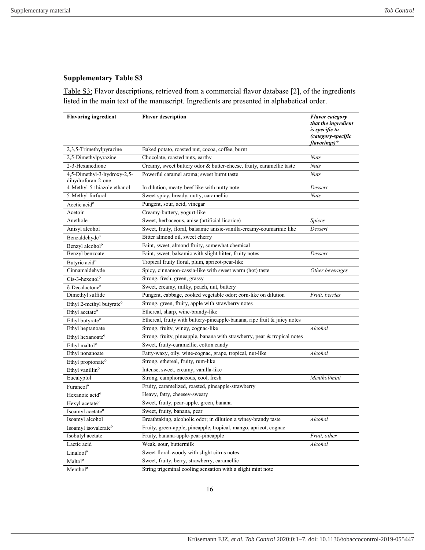Table S3: Flavor descriptions, retrieved from a commercial flavor database [2], of the ingredients listed in the main text of the manuscript. Ingredients are presented in alphabetical order.

| <b>Flavoring ingredient</b>                       | <b>Flavor description</b>                                                | <b>Flavor</b> category<br>that the ingredient<br>is specific to<br>(category-specific<br>flavorings)* |
|---------------------------------------------------|--------------------------------------------------------------------------|-------------------------------------------------------------------------------------------------------|
| 2,3,5-Trimethylpyrazine                           | Baked potato, roasted nut, cocoa, coffee, burnt                          |                                                                                                       |
| 2,5-Dimethylpyrazine                              | Chocolate, roasted nuts, earthy                                          | <b>Nuts</b>                                                                                           |
| 2-3-Hexanedione                                   | Creamy, sweet buttery odor & butter-cheese, fruity, caramellic taste     | <b>Nuts</b>                                                                                           |
| 4,5-Dimethyl-3-hydroxy-2,5-<br>dihydrofuran-2-one | Powerful caramel aroma; sweet burnt taste                                | <b>Nuts</b>                                                                                           |
| 4-Methyl-5-thiazole ethanol                       | In dilution, meaty-beef like with nutty note                             | Dessert                                                                                               |
| 5-Methyl furfural                                 | Sweet spicy, bready, nutty, caramellic                                   | <b>Nuts</b>                                                                                           |
| Acetic acid <sup>o</sup>                          | Pungent, sour, acid, vinegar                                             |                                                                                                       |
| Acetoin                                           | Creamy-buttery, yogurt-like                                              |                                                                                                       |
| Anethole                                          | Sweet, herbaceous, anise (artificial licorice)                           | Spices                                                                                                |
| Anisyl alcohol                                    | Sweet, fruity, floral, balsamic anisic-vanilla-creamy-coumarinic like    | Dessert                                                                                               |
| Benzaldehyde <sup>o</sup>                         | Bitter almond oil, sweet cherry                                          |                                                                                                       |
| Benzyl alcohol <sup>o</sup>                       | Faint, sweet, almond fruity, somewhat chemical                           |                                                                                                       |
| Benzyl benzoate                                   | Faint, sweet, balsamic with slight bitter, fruity notes                  | Dessert                                                                                               |
| Butyric acid <sup>o</sup>                         | Tropical fruity floral, plum, apricot-pear-like                          |                                                                                                       |
| Cinnamaldehyde                                    | Spicy, cinnamon-cassia-like with sweet warm (hot) taste                  | Other beverages                                                                                       |
| Cis-3-hexenol <sup>o</sup>                        | Strong, fresh, green, grassy                                             |                                                                                                       |
| δ-Decalactone <sup>o</sup>                        | Sweet, creamy, milky, peach, nut, buttery                                |                                                                                                       |
| Dimethyl sulfide                                  | Pungent, cabbage, cooked vegetable odor; corn-like on dilution           | Fruit, berries                                                                                        |
| Ethyl 2-methyl butyrate <sup>o</sup>              | Strong, green, fruity, apple with strawberry notes                       |                                                                                                       |
| Ethyl acetate <sup>o</sup>                        | Ethereal, sharp, wine-brandy-like                                        |                                                                                                       |
| Ethyl butyrate <sup>o</sup>                       | Ethereal, fruity with buttery-pineapple-banana, ripe fruit & juicy notes |                                                                                                       |
| Ethyl heptanoate                                  | Strong, fruity, winey, cognac-like                                       | Alcohol                                                                                               |
| Ethyl hexanoate <sup>o</sup>                      | Strong, fruity, pineapple, banana with strawberry, pear & tropical notes |                                                                                                       |
| Ethyl maltol <sup>o</sup>                         | Sweet, fruity-caramellic, cotton candy                                   |                                                                                                       |
| Ethyl nonanoate                                   | Fatty-waxy, oily, wine-cognac, grape, tropical, nut-like                 | Alcohol                                                                                               |
| Ethyl propionate <sup>o</sup>                     | Strong, ethereal, fruity, rum-like                                       |                                                                                                       |
| Ethyl vanillin <sup>o</sup>                       | Intense, sweet, creamy, vanilla-like                                     |                                                                                                       |
| Eucalyptol                                        | Strong, camphoraceous, cool, fresh                                       | Menthol/mint                                                                                          |
| Furaneol <sup>o</sup>                             | Fruity, caramelized, roasted, pineapple-strawberry                       |                                                                                                       |
| Hexanoic acid <sup>o</sup>                        | Heavy, fatty, cheesey-sweaty                                             |                                                                                                       |
| Hexyl acetate <sup>o</sup>                        | Sweet, fruity, pear-apple, green, banana                                 |                                                                                                       |
| Isoamyl acetate <sup>o</sup>                      | Sweet, fruity, banana, pear                                              |                                                                                                       |
| Isoamyl alcohol                                   | Breathtaking, alcoholic odor; in dilution a winey-brandy taste           | Alcohol                                                                                               |
| Isoamyl isovalerate <sup>o</sup>                  | Fruity, green-apple, pineapple, tropical, mango, apricot, cognac         |                                                                                                       |
| Isobutyl acetate                                  | Fruity, banana-apple-pear-pineapple                                      | Fruit, other                                                                                          |
| Lactic acid                                       | Weak, sour, buttermilk                                                   | Alcohol                                                                                               |
| Linalool <sup>o</sup>                             | Sweet floral-woody with slight citrus notes                              |                                                                                                       |
| Maltol <sup>o</sup>                               | Sweet, fruity, berry, strawberry, caramellic                             |                                                                                                       |
| Menthol <sup>o</sup>                              | String trigeminal cooling sensation with a slight mint note              |                                                                                                       |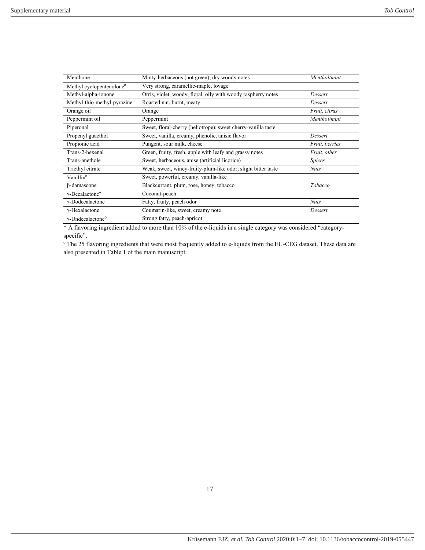| Menthone                             | Minty-herbaceous (not green); dry woody notes                 | Menthol/mint         |  |  |
|--------------------------------------|---------------------------------------------------------------|----------------------|--|--|
| Methyl cyclopentenolone <sup>o</sup> | Very strong, caramellic-maple, lovage                         |                      |  |  |
| Methyl-alpha-ionone                  | Orris, violet, woody, floral, oily with woody raspberry notes | Dessert              |  |  |
| Methyl-thio-methyl-pyrazine          | Roasted nut, burnt, meaty                                     | Dessert              |  |  |
| Orange oil                           | Orange                                                        | <i>Fruit, citrus</i> |  |  |
| Peppermint oil                       | Peppermint                                                    | Menthol/mint         |  |  |
| Piperonal                            | Sweet, floral-cherry (heliotrope); sweet cherry-vanilla taste |                      |  |  |
| Propenyl guaethol                    | Sweet, vanilla, creamy, phenolic, anisic flavor               | Dessert              |  |  |
| Propionic acid                       | Pungent, sour milk, cheese                                    | Fruit, berries       |  |  |
| Trans-2-hexenal                      | Green, fruity, fresh, apple with leafy and grassy notes       | Fruit, other         |  |  |
| Trans-anethole                       | Sweet, herbaceous, anise (artificial licorice)                | <i>Spices</i>        |  |  |
| Triethyl citrate                     | Weak, sweet, winey-fruity-plum-like odor; slight bitter taste | <b>Nuts</b>          |  |  |
| Vanillin <sup>o</sup>                | Sweet, powerful, creamy, vanilla-like                         |                      |  |  |
| β-damascone                          | Blackcurrant, plum, rose, honey, tobacco                      | Tobacco              |  |  |
| $\gamma$ -Decalactone <sup>o</sup>   | Coconut-peach                                                 |                      |  |  |
| γ-Dodecalactone                      | Fatty, fruity, peach odor                                     | <b>Nuts</b>          |  |  |
| $\gamma$ -Hexalactone                | Coumarin-like, sweet, creamy note                             | Dessert              |  |  |
| $\gamma$ -Undecalactone <sup>o</sup> | Strong fatty, peach-apricot                                   |                      |  |  |

\* A flavoring ingredient added to more than 10% of the e-liquids in a single category was considered "categoryspecific".

º The 25 flavoring ingredients that were most frequently added to e-liquids from the EU-CEG dataset. These data are also presented in Table 1 of the main manuscript.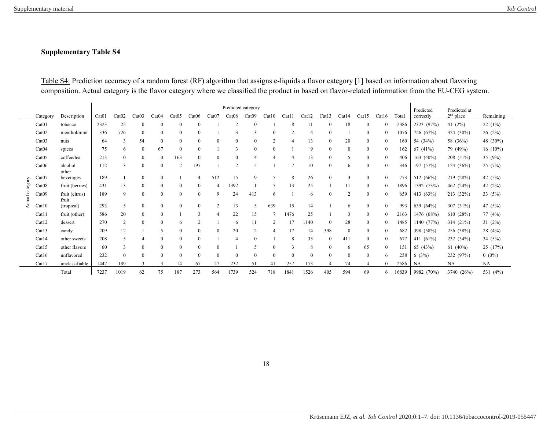Table S4: Prediction accuracy of a random forest (RF) algorithm that assigns e-liquids a flavor category [1] based on information about flavoring composition. Actual category is the flavor category where we classified the product in based on flavor-related information from the EU-CEG system.

<span id="page-17-0"></span>

|          |                   |                         | Predicted category |              |              |                  |                |                |                       |                |                |                |                | Predicted    | Predicted at |                  |                  |                |       |              |             |            |
|----------|-------------------|-------------------------|--------------------|--------------|--------------|------------------|----------------|----------------|-----------------------|----------------|----------------|----------------|----------------|--------------|--------------|------------------|------------------|----------------|-------|--------------|-------------|------------|
|          | Category          | Description             | Cat01              | Cat02        | Cat03        | Cat04            | Cat05          | Cat06          | Cat07                 | Cat08          | Cat09          | Cat10          | Cat11          | Cat12        | Cat13        | Cat14            | Cat15            | Cat16          | Total | correctly    | $2nd$ place | Remaining  |
|          | Cat <sub>01</sub> | tobacco                 | 2323               | 22           | $\Omega$     |                  | $\Omega$       | $\Omega$       |                       | $\mathcal{D}$  | $\Omega$       |                | 8              | 11           | $\Omega$     | 18               | 0                | $\Omega$       | 2386  | 2323 (97%)   | 41 $(2%)$   | 22(1%)     |
|          | Cat <sub>02</sub> | menthol/mint            | 336                | 726          | $\Omega$     | $\Omega$         | $\Omega$       | $\theta$       |                       | 3              | 3              |                | $\overline{2}$ | 4            | $\theta$     |                  |                  | $\Omega$       | 1076  | 726 (67%)    | 324 (30%)   | 26(2%)     |
|          | Cat <sub>03</sub> | nuts                    | 64                 | 3            | 54           | 0                | $\overline{0}$ | $\theta$       | $\mathbf{0}$          |                | $\theta$       | $\overline{c}$ | $\overline{4}$ | 13           | $\mathbf{0}$ | 20               | $\Omega$         | $\theta$       | 160   | 54 (34%)     | 58 (36%)    | 48 (30%)   |
|          | Cat04             | spices                  | 75                 | 6            | $\theta$     | 67               | $\overline{0}$ | $\mathbf{0}$   |                       | 3              | $\theta$       |                |                | 9            | $\mathbf{0}$ | $\bf{0}$         | 0                | $\mathbf{0}$   | 162   | 67(41%)      | 79 (49%)    | $16(10\%)$ |
|          | Cat05             | coffee/tea              | 213                | $\mathbf{0}$ | $\Omega$     | 0                | 163            | $\theta$       | $\mathbf{0}$          | $\overline{0}$ |                |                |                | 13           | $\mathbf{0}$ | 5                | 0                | $\mathbf{0}$   | 406   | 163 $(40\%)$ | 208 (51%)   | 35 $(9%)$  |
|          | Cat06             | alcohol<br>other        | 112                | 3            | $\Omega$     | $\theta$         | $\overline{c}$ | 197            |                       | $\overline{2}$ | 5              |                |                | 10           | $\mathbf{0}$ | 6                | 0                | $\mathbf{0}$   | 346   | 197 (57%)    | 124 (36%)   | 25(7%)     |
|          | Cat07             | beverages               | 189                |              | $\mathbf{0}$ | $\theta$         |                | $\overline{4}$ | 512                   | 15             | 9              | $\sim$         | 8              | 26           | $\Omega$     | $\overline{3}$   | $\boldsymbol{0}$ | $\mathbf{0}$   | 773   | 512 (66%)    | 219 (28%)   | 42 (5%)    |
| category | Cat08             | fruit (berries)         | 431                | 13           | $\Omega$     | $\boldsymbol{0}$ | $\overline{0}$ | $\mathbf{0}$   | $\overline{4}$        | 1392           |                | 5              | 13             | 25           |              |                  | 0                | $\mathbf{0}$   | 1896  | 1392 (73%)   | 462 (24%)   | 42 (2%)    |
| ctual    | Cat <sub>09</sub> | fruit (citrus)<br>fruit | 189                | 9            | $\Omega$     | $\overline{0}$   | $\overline{0}$ | $\mathbf{0}$   | 9                     | 24             | 413            | 6              |                | 6            | $\Omega$     | $\overline{2}$   | $\overline{0}$   | $\mathbf{0}$   | 659   | 413 (63%)    | 213 (32%)   | 33 $(5%)$  |
|          | Cat10             | (tropical)              | 293                | 5            | $\Omega$     | $\theta$         | $\overline{0}$ | $\mathbf{0}$   | 2                     | 13             | 5              | 639            | 15             | 14           |              | 6                | $\Omega$         | $\theta$       | 993   | 639 (64%)    | 307 (31%)   | 47 (5%)    |
|          | Cat11             | fruit (other)           | 586                | 20           | $\Omega$     | $\mathbf{0}$     |                | 3              | $\boldsymbol{\Delta}$ | 22             | 15             |                | 1476           | 25           |              | 3                | 0                | $\Omega$       | 2163  | 1476 (68%)   | 610 (28%)   | 77 (4%)    |
|          | Cat12             | dessert                 | 270                | 2            | $\Omega$     | $\theta$         | 6              | $\overline{2}$ |                       | 6              | 11             | 2              | 17             | 1140         | $\theta$     | 28               | 0                | $\theta$       | 1485  | 1140 (77%)   | 314 (21%)   | 31(2%)     |
|          | Cat13             | candy                   | 209                | 12           |              | 5                | $\overline{0}$ | $\mathbf{0}$   | $\mathbf{0}$          | 20             | $\overline{2}$ |                | 17             | 14           | 398          | $\boldsymbol{0}$ | 0                | $\mathbf{0}$   | 682   | 398 (58%)    | 256 (38%)   | 28(4%)     |
|          | Cat14             | other sweets            | 208                | 5            |              |                  | $\overline{0}$ | $\theta$       |                       | 4              | $\Omega$       |                | 8              | 35           | $\theta$     | 411              |                  | $\theta$       | 677   | 411 (61%)    | 232 (34%)   | 34 $(5%)$  |
|          | Cat15             | other flavors           | 60                 | 3            | $\Omega$     | $\theta$         | $\overline{0}$ | $\theta$       | $\mathbf{0}$          |                |                |                | $\mathcal{R}$  | 8            | $\theta$     | 6                | 65               | $\theta$       | 151   | 65 (43%)     | 61 $(40\%)$ | 25 (17%)   |
|          | Cat16             | unflavored              | 232                | $\mathbf{0}$ | $\Omega$     | $\theta$         | $\overline{0}$ | $\mathbf{0}$   | $\mathbf{0}$          | $\Omega$       | $\Omega$       | $\Omega$       | $\mathbf{0}$   | $\mathbf{0}$ | $\theta$     | $\theta$         | 0                | 6              | 238   | 6(3%)        | 232 (97%)   | $0(0\%)$   |
|          | Cat17             | unclassifiable          | 1447               | 189          |              |                  | 14             | 67             | 27                    | 232            | 51             | 41             | 257            | 173          |              | 74               |                  | $\overline{0}$ | 2586  | NA           | NA          | <b>NA</b>  |
|          |                   | Total                   | 7237               | 1019         | 62           | 75               | 187            | 273            | 564                   | 1739           | 524            | 718            | 1841           | 1526         | 405          | 594              | 69               | 6              | 16839 | 9982 (70%)   | 3740 (26%)  | 531 (4%)   |